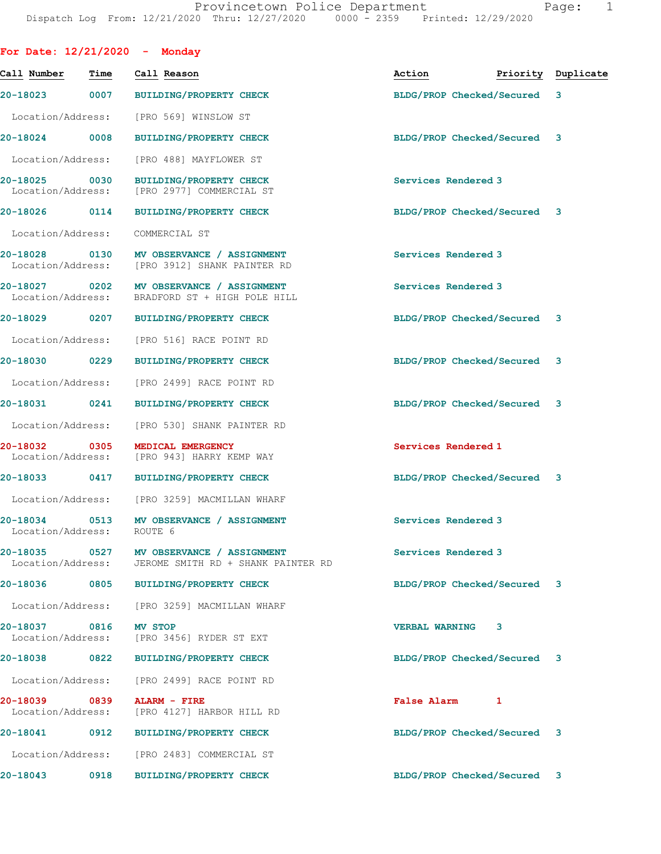|                                    |      | For Date: $12/21/2020 -$ Monday                                                         |                             |                    |
|------------------------------------|------|-----------------------------------------------------------------------------------------|-----------------------------|--------------------|
| Call Number                        | Time | Call Reason                                                                             | Action                      | Priority Duplicate |
| 20-18023                           | 0007 | <b>BUILDING/PROPERTY CHECK</b>                                                          | BLDG/PROP Checked/Secured   | 3                  |
| Location/Address:                  |      | [PRO 569] WINSLOW ST                                                                    |                             |                    |
| 20-18024 0008                      |      | <b>BUILDING/PROPERTY CHECK</b>                                                          | BLDG/PROP Checked/Secured 3 |                    |
| Location/Address:                  |      | [PRO 488] MAYFLOWER ST                                                                  |                             |                    |
| 20-18025<br>Location/Address:      | 0030 | <b>BUILDING/PROPERTY CHECK</b><br>[PRO 2977] COMMERCIAL ST                              | Services Rendered 3         |                    |
| 20-18026 0114                      |      | <b>BUILDING/PROPERTY CHECK</b>                                                          | BLDG/PROP Checked/Secured 3 |                    |
| Location/Address:                  |      | COMMERCIAL ST                                                                           |                             |                    |
| 20-18028 0130<br>Location/Address: |      | MV OBSERVANCE / ASSIGNMENT<br>[PRO 3912] SHANK PAINTER RD                               | Services Rendered 3         |                    |
| 20-18027 0202                      |      | MV OBSERVANCE / ASSIGNMENT<br>Location/Address: BRADFORD ST + HIGH POLE HILL            | Services Rendered 3         |                    |
|                                    |      | 20-18029 0207 BUILDING/PROPERTY CHECK                                                   | BLDG/PROP Checked/Secured 3 |                    |
| Location/Address:                  |      | [PRO 516] RACE POINT RD                                                                 |                             |                    |
| 20-18030 0229                      |      | <b>BUILDING/PROPERTY CHECK</b>                                                          | BLDG/PROP Checked/Secured 3 |                    |
| Location/Address:                  |      | [PRO 2499] RACE POINT RD                                                                |                             |                    |
| 20-18031                           | 0241 | BUILDING/PROPERTY CHECK                                                                 | BLDG/PROP Checked/Secured 3 |                    |
| Location/Address:                  |      | [PRO 530] SHANK PAINTER RD                                                              |                             |                    |
| 20-18032<br>Location/Address:      | 0305 | MEDICAL EMERGENCY<br>[PRO 943] HARRY KEMP WAY                                           | Services Rendered 1         |                    |
|                                    |      | 20-18033 0417 BUILDING/PROPERTY CHECK                                                   | BLDG/PROP Checked/Secured 3 |                    |
|                                    |      | Location/Address: [PRO 3259] MACMILLAN WHARF                                            |                             |                    |
| 20-18034<br>Location/Address:      | 0513 | MV OBSERVANCE / ASSIGNMENT<br>ROUTE 6                                                   | Services Rendered 3         |                    |
| 20-18035                           |      | 0527 MV OBSERVANCE / ASSIGNMENT<br>Location/Address: JEROME SMITH RD + SHANK PAINTER RD | Services Rendered 3         |                    |
|                                    |      | 20-18036 0805 BUILDING/PROPERTY CHECK                                                   | BLDG/PROP Checked/Secured 3 |                    |
| Location/Address:                  |      | [PRO 3259] MACMILLAN WHARF                                                              |                             |                    |
| 20-18037<br>Location/Address:      | 0816 | MV STOP<br>[PRO 3456] RYDER ST EXT                                                      | <b>VERBAL WARNING</b><br>3  |                    |
| 20-18038                           | 0822 | <b>BUILDING/PROPERTY CHECK</b>                                                          | BLDG/PROP Checked/Secured 3 |                    |
| Location/Address:                  |      | [PRO 2499] RACE POINT RD                                                                |                             |                    |
| 20-18039 0839<br>Location/Address: |      | ALARM - FIRE<br>[PRO 4127] HARBOR HILL RD                                               | <b>False Alarm</b><br>1     |                    |
| 20-18041                           | 0912 | <b>BUILDING/PROPERTY CHECK</b>                                                          | BLDG/PROP Checked/Secured 3 |                    |
|                                    |      | Location/Address: [PRO 2483] COMMERCIAL ST                                              |                             |                    |
| 20-18043                           | 0918 | <b>BUILDING/PROPERTY CHECK</b>                                                          | BLDG/PROP Checked/Secured 3 |                    |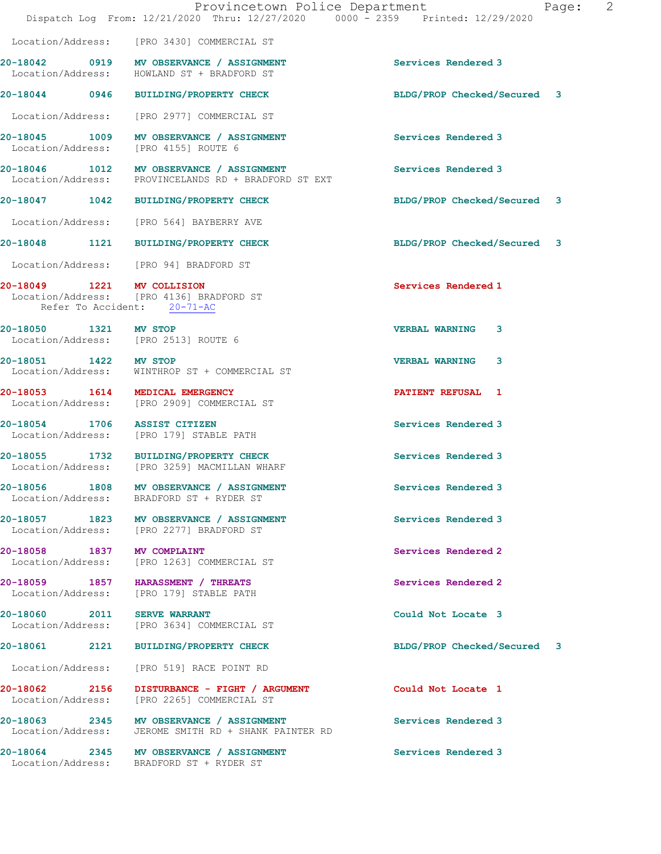|                                    | Provincetown Police Department<br>Dispatch Log From: 12/21/2020 Thru: 12/27/2020 0000 - 2359 Printed: 12/29/2020               | Page:                       | $\overline{2}$ |
|------------------------------------|--------------------------------------------------------------------------------------------------------------------------------|-----------------------------|----------------|
|                                    | Location/Address: [PRO 3430] COMMERCIAL ST                                                                                     |                             |                |
|                                    | 20-18042 0919 MV OBSERVANCE / ASSIGNMENT<br>Location/Address: HOWLAND ST + BRADFORD ST                                         | Services Rendered 3         |                |
| 20-18044 0946                      | <b>BUILDING/PROPERTY CHECK</b>                                                                                                 | BLDG/PROP Checked/Secured 3 |                |
|                                    | Location/Address: [PRO 2977] COMMERCIAL ST                                                                                     |                             |                |
| Location/Address:                  | 20-18045 1009 MV OBSERVANCE / ASSIGNMENT<br>[PRO 4155] ROUTE 6                                                                 | Services Rendered 3         |                |
|                                    | 20-18046 1012 MV OBSERVANCE / ASSIGNMENT<br>Location/Address: PROVINCELANDS RD + BRADFORD ST EXT                               | Services Rendered 3         |                |
|                                    | 20-18047 1042 BUILDING/PROPERTY CHECK                                                                                          | BLDG/PROP Checked/Secured 3 |                |
|                                    | Location/Address: [PRO 564] BAYBERRY AVE                                                                                       |                             |                |
|                                    | 20-18048 1121 BUILDING/PROPERTY CHECK                                                                                          | BLDG/PROP Checked/Secured 3 |                |
|                                    | Location/Address: [PRO 94] BRADFORD ST                                                                                         |                             |                |
|                                    | 20-18049 1221 MV COLLISION<br>Location/Address: [PRO 4136] BRADFORD ST<br>Refer To Accident: 20-71-AC                          | Services Rendered 1         |                |
| 20-18050 1321 MV STOP              | Location/Address: [PRO 2513] ROUTE 6                                                                                           | <b>VERBAL WARNING</b><br>3  |                |
| 20-18051 1422 MV STOP              |                                                                                                                                | <b>VERBAL WARNING</b><br>3  |                |
|                                    | Location/Address: WINTHROP ST + COMMERCIAL ST<br>20-18053 1614 MEDICAL EMERGENCY<br>Location/Address: [PRO 2909] COMMERCIAL ST | PATIENT REFUSAL 1           |                |
|                                    | 20-18054 1706 ASSIST CITIZEN<br>Location/Address: [PRO 179] STABLE PATH                                                        | Services Rendered 3         |                |
|                                    | 20-18055 1732 BUILDING/PROPERTY CHECK<br>Location/Address: [PRO 3259] MACMILLAN WHARF                                          | Services Rendered 3         |                |
|                                    | 20-18056 1808 MV OBSERVANCE / ASSIGNMENT<br>Location/Address: BRADFORD ST + RYDER ST                                           | Services Rendered 3         |                |
|                                    | 20-18057 1823 MV OBSERVANCE / ASSIGNMENT<br>Location/Address: [PRO 2277] BRADFORD ST                                           | Services Rendered 3         |                |
|                                    | 20-18058 1837 MV COMPLAINT<br>Location/Address: [PRO 1263] COMMERCIAL ST                                                       | Services Rendered 2         |                |
| Location/Address:                  | 20-18059 1857 HARASSMENT / THREATS<br>[PRO 179] STABLE PATH                                                                    | Services Rendered 2         |                |
|                                    | 20-18060 2011 SERVE WARRANT<br>Location/Address: [PRO 3634] COMMERCIAL ST                                                      | Could Not Locate 3          |                |
|                                    | 20-18061 2121 BUILDING/PROPERTY CHECK                                                                                          | BLDG/PROP Checked/Secured 3 |                |
| Location/Address:                  | [PRO 519] RACE POINT RD                                                                                                        |                             |                |
| 20-18062 2156<br>Location/Address: | DISTURBANCE - FIGHT / ARGUMENT<br>[PRO 2265] COMMERCIAL ST                                                                     | Could Not Locate 1          |                |
|                                    | 20-18063 2345 MV OBSERVANCE / ASSIGNMENT<br>Location/Address: JEROME SMITH RD + SHANK PAINTER RD                               | Services Rendered 3         |                |
|                                    | 20-18064 2345 MV OBSERVANCE / ASSIGNMENT<br>Location/Address: BRADFORD ST + RYDER ST                                           | Services Rendered 3         |                |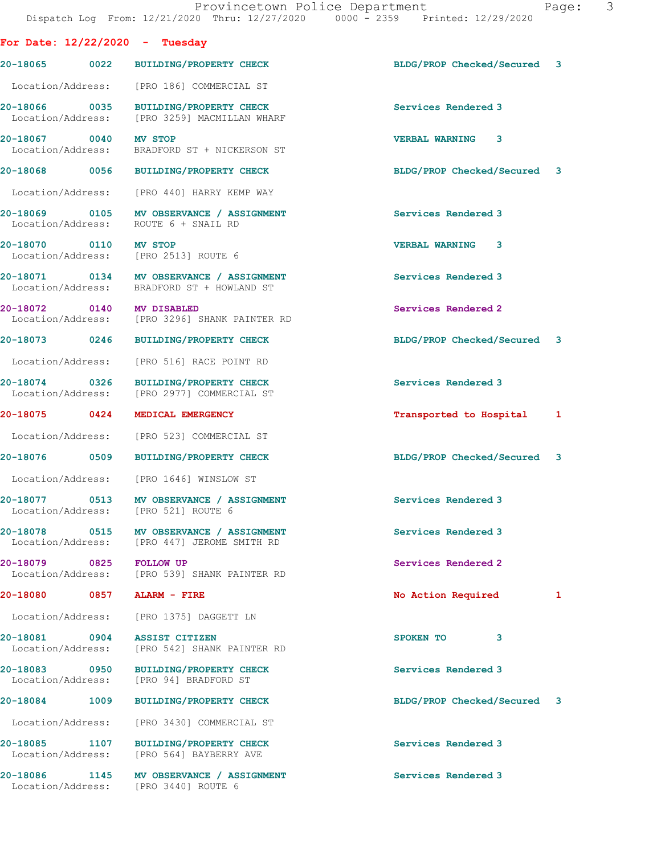|                                                               | Dispatch Log From: 12/21/2020 Thru: 12/27/2020 0000 - 2359 Printed: 12/29/2020          |                             |
|---------------------------------------------------------------|-----------------------------------------------------------------------------------------|-----------------------------|
| For Date: $12/22/2020 -$ Tuesday                              |                                                                                         |                             |
|                                                               | 20-18065 0022 BUILDING/PROPERTY CHECK                                                   | BLDG/PROP Checked/Secured 3 |
|                                                               | Location/Address: [PRO 186] COMMERCIAL ST                                               |                             |
|                                                               | 20-18066 0035 BUILDING/PROPERTY CHECK<br>Location/Address: [PRO 3259] MACMILLAN WHARF   | Services Rendered 3         |
| 20-18067 0040 MV STOP                                         | Location/Address: BRADFORD ST + NICKERSON ST                                            | <b>VERBAL WARNING 3</b>     |
|                                                               | 20-18068 0056 BUILDING/PROPERTY CHECK                                                   | BLDG/PROP Checked/Secured 3 |
|                                                               | Location/Address: [PRO 440] HARRY KEMP WAY                                              |                             |
|                                                               | 20-18069 0105 MV OBSERVANCE / ASSIGNMENT<br>Location/Address: ROUTE 6 + SNAIL RD        | Services Rendered 3         |
| 20-18070 0110 MV STOP<br>Location/Address: [PRO 2513] ROUTE 6 |                                                                                         | <b>VERBAL WARNING 3</b>     |
|                                                               | 20-18071 0134 MV OBSERVANCE / ASSIGNMENT<br>Location/Address: BRADFORD ST + HOWLAND ST  | Services Rendered 3         |
| 20-18072 0140 MV DISABLED                                     | Location/Address: [PRO 3296] SHANK PAINTER RD                                           | Services Rendered 2         |
|                                                               | 20-18073 0246 BUILDING/PROPERTY CHECK                                                   | BLDG/PROP Checked/Secured 3 |
|                                                               | Location/Address: [PRO 516] RACE POINT RD                                               |                             |
| 20-18074 0326                                                 | <b>BUILDING/PROPERTY CHECK</b><br>Location/Address: [PRO 2977] COMMERCIAL ST            | Services Rendered 3         |
| 20-18075 0424                                                 | MEDICAL EMERGENCY                                                                       | Transported to Hospital 1   |
|                                                               | Location/Address: [PRO 523] COMMERCIAL ST                                               |                             |
|                                                               | 20-18076 0509 BUILDING/PROPERTY CHECK                                                   | BLDG/PROP Checked/Secured 3 |
|                                                               | Location/Address: [PRO 1646] WINSLOW ST                                                 |                             |
| Location/Address: [PRO 521] ROUTE 6                           | 20-18077 0513 MV OBSERVANCE / ASSIGNMENT                                                | Services Rendered 3         |
|                                                               | 20-18078 0515 MV OBSERVANCE / ASSIGNMENT<br>Location/Address: [PRO 447] JEROME SMITH RD | Services Rendered 3         |
| 20-18079 0825 FOLLOW UP                                       | Location/Address: [PRO 539] SHANK PAINTER RD                                            | Services Rendered 2         |
| 20-18080 0857 ALARM - FIRE                                    |                                                                                         | No Action Required<br>1     |
|                                                               | Location/Address: [PRO 1375] DAGGETT LN                                                 |                             |
| 20-18081 0904                                                 | <b>ASSIST CITIZEN</b><br>Location/Address: [PRO 542] SHANK PAINTER RD                   | SPOKEN TO<br>3              |
|                                                               | 20-18083 0950 BUILDING/PROPERTY CHECK<br>Location/Address: [PRO 94] BRADFORD ST         | Services Rendered 3         |
|                                                               | 20-18084 1009 BUILDING/PROPERTY CHECK                                                   | BLDG/PROP Checked/Secured 3 |
|                                                               | Location/Address: [PRO 3430] COMMERCIAL ST                                              |                             |
|                                                               | 20-18085 1107 BUILDING/PROPERTY CHECK<br>Location/Address: [PRO 564] BAYBERRY AVE       | Services Rendered 3         |
| Location/Address: [PRO 3440] ROUTE 6                          | 20-18086 1145 MV OBSERVANCE / ASSIGNMENT                                                | Services Rendered 3         |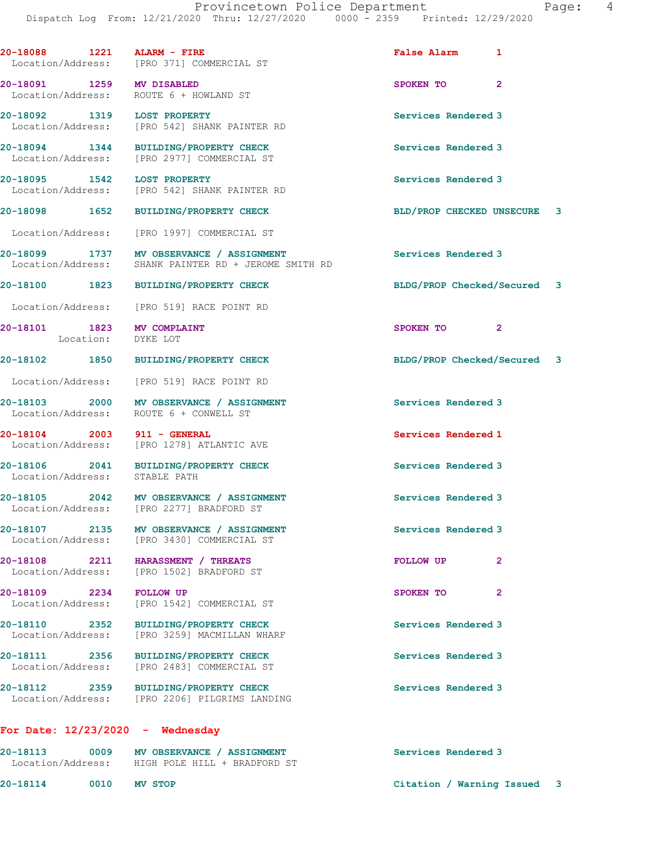**20-18088 1221 ALARM - FIRE False Alarm 1**  Location/Address: [PRO 371] COMMERCIAL ST **20-18091 1259 MV DISABLED SPOKEN TO 2**  Location/Address: ROUTE 6 + HOWLAND ST **20-18092 1319 LOST PROPERTY Services Rendered 3**  Location/Address: [PRO 542] SHANK PAINTER RD **20-18094 1344 BUILDING/PROPERTY CHECK Services Rendered 3**  Location/Address: [PRO 2977] COMMERCIAL ST **20-18095 1542 LOST PROPERTY Services Rendered 3**  Location/Address: [PRO 542] SHANK PAINTER RD **20-18098 1652 BUILDING/PROPERTY CHECK BLD/PROP CHECKED UNSECURE 3** Location/Address: [PRO 1997] COMMERCIAL ST **20-18099 1737 MV OBSERVANCE / ASSIGNMENT Services Rendered 3**  Location/Address: SHANK PAINTER RD + JEROME SMITH RD **20-18100 1823 BUILDING/PROPERTY CHECK BLDG/PROP Checked/Secured 3** Location/Address: [PRO 519] RACE POINT RD **20-18101 1823 MV COMPLAINT SPOKEN TO 2**  Location: DYKE LOT **20-18102 1850 BUILDING/PROPERTY CHECK BLDG/PROP Checked/Secured 3** Location/Address: [PRO 519] RACE POINT RD **20-18103 2000 MV OBSERVANCE / ASSIGNMENT Services Rendered 3**  Location/Address: ROUTE 6 + CONWELL ST **20-18104 2003 911 - GENERAL Services Rendered 1**  Location/Address: [PRO 1278] ATLANTIC AVE **20-18106 2041 BUILDING/PROPERTY CHECK Services Rendered 3**  Location/Address: STABLE PATH **20-18105 2042 MV OBSERVANCE / ASSIGNMENT Services Rendered 3**  Location/Address: [PRO 2277] BRADFORD ST **20-18107 2135 MV OBSERVANCE / ASSIGNMENT Services Rendered 3**  Location/Address: [PRO 3430] COMMERCIAL ST **20-18108 2211 HARASSMENT / THREATS FOLLOW UP 2**  Location/Address: [PRO 1502] BRADFORD ST **20-18109 2234 FOLLOW UP 3POKEN TO** 2<br>
Location/Address: [PRO 1542] COMMERCIAL ST [PRO 1542] COMMERCIAL ST **20-18110 2352 BUILDING/PROPERTY CHECK Services Rendered 3**  Location/Address: [PRO 3259] MACMILLAN WHARF **20-18111 2356 BUILDING/PROPERTY CHECK Services Rendered 3**  Location/Address: [PRO 2483] COMMERCIAL ST **20-18112 2359 BUILDING/PROPERTY CHECK Services Rendered 3**  Location/Address: [PRO 2206] PILGRIMS LANDING

## **For Date: 12/23/2020 - Wednesday**

| 20-18113<br>Location/Address: | 0009 | MV OBSERVANCE / ASSIGNMENT<br>HIGH POLE HILL + BRADFORD ST | Services Rendered 3         |  |
|-------------------------------|------|------------------------------------------------------------|-----------------------------|--|
| 20-18114                      | 0010 | MV STOP                                                    | Citation / Warning Issued 3 |  |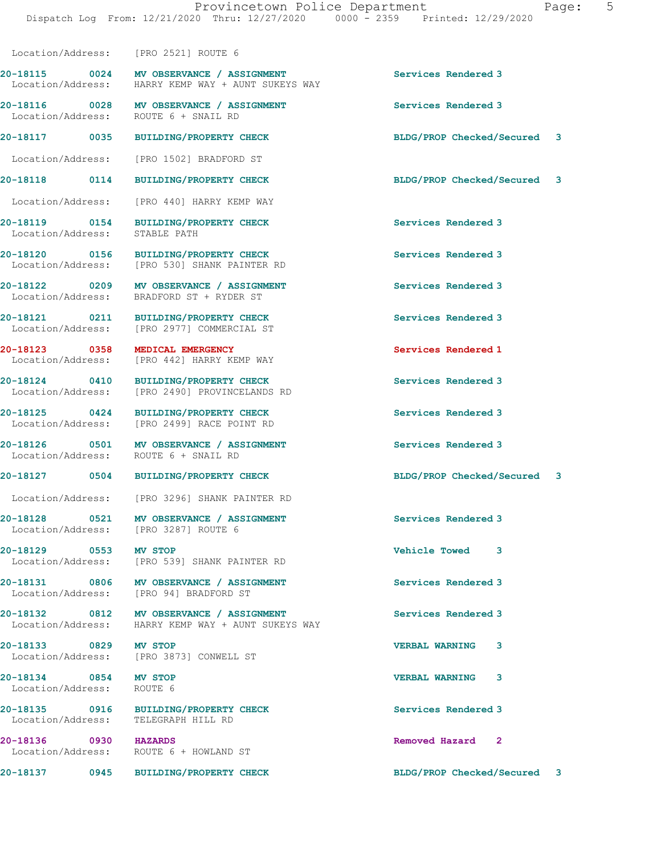Location/Address: [PRO 1502] BRADFORD ST **20-18118 0114 BUILDING/PROPERTY CHECK BLDG/PROP Checked/Secured 3** Location/Address: [PRO 440] HARRY KEMP WAY **20-18119 0154 BUILDING/PROPERTY CHECK Services Rendered 3**  Location/Address: STABLE PATH **20-18120 0156 BUILDING/PROPERTY CHECK Services Rendered 3**  Location/Address: [PRO 530] SHANK PAINTER RD **20-18122 0209 MV OBSERVANCE / ASSIGNMENT Services Rendered 3**  Location/Address: BRADFORD ST + RYDER ST **20-18121 0211 BUILDING/PROPERTY CHECK Services Rendered 3**  Location/Address: [PRO 2977] COMMERCIAL ST

**20-18123 0358 MEDICAL EMERGENCY Services Rendered 1**  Location/Address: [PRO 442] HARRY KEMP WAY

Location/Address: [PRO 2521] ROUTE 6

Location/Address: ROUTE 6 + SNAIL RD

Location/Address: HARRY KEMP WAY + AUNT SUKEYS WAY

**20-18124 0410 BUILDING/PROPERTY CHECK Services Rendered 3**  Location/Address: [PRO 2490] PROVINCELANDS RD

**20-18125 0424 BUILDING/PROPERTY CHECK Services Rendered 3**  Location/Address: [PRO 2499] RACE POINT RD

20-18126 0501 MV OBSERVANCE / ASSIGNMENT Services Rendered 3 Location/Address: ROUTE 6 + SNAIL RD

Location/Address: [PRO 3296] SHANK PAINTER RD

**20-18128 0521 MV OBSERVANCE / ASSIGNMENT Services Rendered 3**  Location/Address: [PRO 3287] ROUTE 6

**20-18129 0553 MV STOP Vehicle Towed 3**  Location/Address: [PRO 539] SHANK PAINTER RD

**20-18131 0806 MV OBSERVANCE / ASSIGNMENT Services Rendered 3**  Location/Address: [PRO 94] BRADFORD ST

**20-18132 0812 MV OBSERVANCE / ASSIGNMENT Services Rendered 3**  Location/Address: HARRY KEMP WAY + AUNT SUKEYS WAY

**20-18133 0829 MV STOP VERBAL WARNING 3**  Location/Address: [PRO 3873] CONWELL ST

Location/Address: ROUTE 6

**20-18135 0916 BUILDING/PROPERTY CHECK Services Rendered 3**  Location/Address: TELEGRAPH HILL RD

**20-18136 0930 HAZARDS Removed Hazard 2**  Location/Address: ROUTE 6 + HOWLAND ST

20-18115 0024 MV OBSERVANCE / ASSIGNMENT **Services Rendered 3** 

**20-18116 0028 MV OBSERVANCE / ASSIGNMENT Services Rendered 3** 

**20-18117 0035 BUILDING/PROPERTY CHECK BLDG/PROP Checked/Secured 3**

**20-18127 0504 BUILDING/PROPERTY CHECK BLDG/PROP Checked/Secured 3**

**20-18134 0854 MV STOP VERBAL WARNING 3** 

**20-18137 0945 BUILDING/PROPERTY CHECK BLDG/PROP Checked/Secured 3**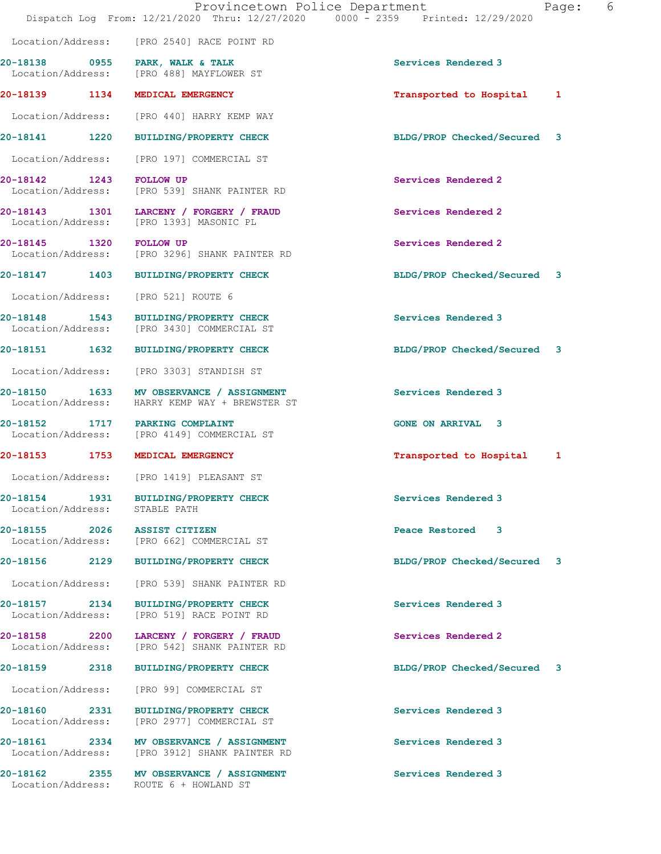|                                    |      | Provincetown Police Department<br>Dispatch Log From: 12/21/2020 Thru: 12/27/2020 0000 - 2359 Printed: 12/29/2020 |                              | 6<br>Page: |
|------------------------------------|------|------------------------------------------------------------------------------------------------------------------|------------------------------|------------|
|                                    |      | Location/Address: [PRO 2540] RACE POINT RD                                                                       |                              |            |
|                                    |      | 20-18138 0955 PARK, WALK & TALK<br>Location/Address: [PRO 488] MAYFLOWER ST                                      | Services Rendered 3          |            |
|                                    |      | 20-18139 1134 MEDICAL EMERGENCY                                                                                  | Transported to Hospital<br>1 |            |
|                                    |      | Location/Address: [PRO 440] HARRY KEMP WAY                                                                       |                              |            |
|                                    |      | 20-18141 1220 BUILDING/PROPERTY CHECK                                                                            | BLDG/PROP Checked/Secured 3  |            |
| Location/Address:                  |      | [PRO 197] COMMERCIAL ST                                                                                          |                              |            |
| 20-18142 1243                      |      | <b>FOLLOW UP</b><br>Location/Address: [PRO 539] SHANK PAINTER RD                                                 | Services Rendered 2          |            |
|                                    |      | 20-18143 1301 LARCENY / FORGERY / FRAUD<br>Location/Address: [PRO 1393] MASONIC PL                               | Services Rendered 2          |            |
| 20-18145 1320 FOLLOW UP            |      | Location/Address: [PRO 3296] SHANK PAINTER RD                                                                    | Services Rendered 2          |            |
|                                    |      | 20-18147 1403 BUILDING/PROPERTY CHECK                                                                            | BLDG/PROP Checked/Secured 3  |            |
|                                    |      | Location/Address: [PRO 521] ROUTE 6                                                                              |                              |            |
| Location/Address:                  |      | 20-18148 1543 BUILDING/PROPERTY CHECK<br>[PRO 3430] COMMERCIAL ST                                                | Services Rendered 3          |            |
|                                    |      | 20-18151  1632 BUILDING/PROPERTY CHECK                                                                           | BLDG/PROP Checked/Secured 3  |            |
| Location/Address:                  |      | [PRO 3303] STANDISH ST                                                                                           |                              |            |
| 20-18150 1633<br>Location/Address: |      | MV OBSERVANCE / ASSIGNMENT<br>HARRY KEMP WAY + BREWSTER ST                                                       | Services Rendered 3          |            |
| 20-18152                           |      | 1717 PARKING COMPLAINT<br>Location/Address: [PRO 4149] COMMERCIAL ST                                             | <b>GONE ON ARRIVAL 3</b>     |            |
|                                    |      | 20-18153 1753 MEDICAL EMERGENCY                                                                                  | Transported to Hospital 1    |            |
|                                    |      | Location/Address: [PRO 1419] PLEASANT ST                                                                         |                              |            |
|                                    |      | 20-18154 1931 BUILDING/PROPERTY CHECK<br>Location/Address: STABLE PATH                                           | Services Rendered 3          |            |
|                                    |      | 20-18155 2026 ASSIST CITIZEN<br>Location/Address: [PRO 662] COMMERCIAL ST                                        | Peace Restored 3             |            |
|                                    |      | 20-18156 2129 BUILDING/PROPERTY CHECK                                                                            | BLDG/PROP Checked/Secured 3  |            |
| Location/Address:                  |      | [PRO 539] SHANK PAINTER RD                                                                                       |                              |            |
|                                    |      | 20-18157 2134 BUILDING/PROPERTY CHECK<br>Location/Address: [PRO 519] RACE POINT RD                               | Services Rendered 3          |            |
|                                    |      | 20-18158 2200 LARCENY / FORGERY / FRAUD<br>Location/Address: [PRO 542] SHANK PAINTER RD                          | Services Rendered 2          |            |
| 20-18159                           | 2318 | <b>BUILDING/PROPERTY CHECK</b>                                                                                   | BLDG/PROP Checked/Secured 3  |            |
| Location/Address:                  |      | [PRO 99] COMMERCIAL ST                                                                                           |                              |            |
| 20-18160 2331<br>Location/Address: |      | <b>BUILDING/PROPERTY CHECK</b><br>[PRO 2977] COMMERCIAL ST                                                       | Services Rendered 3          |            |
|                                    |      | 20-18161 2334 MV OBSERVANCE / ASSIGNMENT<br>Location/Address: [PRO 3912] SHANK PAINTER RD                        | Services Rendered 3          |            |
|                                    |      | 20-18162 2355 MV OBSERVANCE / ASSIGNMENT<br>Location/Address: ROUTE 6 + HOWLAND ST                               | Services Rendered 3          |            |
|                                    |      |                                                                                                                  |                              |            |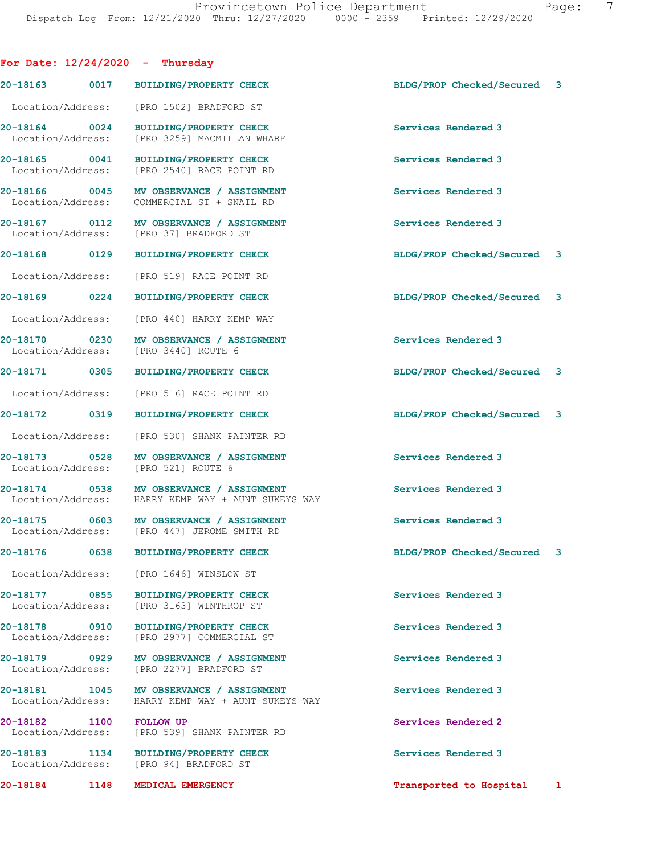**For Date: 12/24/2020 - Thursday 20-18163 0017 BUILDING/PROPERTY CHECK BLDG/PROP Checked/Secured 3** Location/Address: [PRO 1502] BRADFORD ST **20-18164** 0024 BUILDING/PROPERTY CHECK Services Rendered 3<br>
Location/Address: [PRO 3259] MACMILLAN WHARF [PRO 3259] MACMILLAN WHARF **20-18165** 0041 BUILDING/PROPERTY CHECK Services Rendered 3<br>
Location/Address: [PRO 2540] RACE POINT RD [PRO 2540] RACE POINT RD **20-18166 0045 MV OBSERVANCE / ASSIGNMENT Services Rendered 3**  Location/Address: COMMERCIAL ST + SNAIL RD **20-18167 0112 MV OBSERVANCE / ASSIGNMENT Services Rendered 3**  Location/Address: [PRO 37] BRADFORD ST **20-18168 0129 BUILDING/PROPERTY CHECK BLDG/PROP Checked/Secured 3** Location/Address: [PRO 519] RACE POINT RD **20-18169 0224 BUILDING/PROPERTY CHECK BLDG/PROP Checked/Secured 3** Location/Address: [PRO 440] HARRY KEMP WAY **20-18170** 0230 **MV OBSERVANCE / ASSIGNMENT** Services Rendered 3 **Interval Contains Accept** Services Rendered 3 Location/Address: **20-18171 0305 BUILDING/PROPERTY CHECK BLDG/PROP Checked/Secured 3** Location/Address: [PRO 516] RACE POINT RD **20-18172 0319 BUILDING/PROPERTY CHECK BLDG/PROP Checked/Secured 3** Location/Address: [PRO 530] SHANK PAINTER RD **20-18173 0528 MV OBSERVANCE / ASSIGNMENT Services Rendered 3**  Location/Address: **20-18174 0538 MV OBSERVANCE / ASSIGNMENT Services Rendered 3**  Location/Address: HARRY KEMP WAY + AUNT SUKEYS WAY **20-18175 0603 MV OBSERVANCE / ASSIGNMENT Services Rendered 3**  Location/Address: [PRO 447] JEROME SMITH RD **20-18176 0638 BUILDING/PROPERTY CHECK BLDG/PROP Checked/Secured 3** Location/Address: [PRO 1646] WINSLOW ST **20-18177 0855 BUILDING/PROPERTY CHECK Services Rendered 3**  Location/Address: [PRO 3163] WINTHROP ST **20-18178 0910 BUILDING/PROPERTY CHECK Services Rendered 3**  Location/Address: [PRO 2977] COMMERCIAL ST 20-18179 0929 MV OBSERVANCE / ASSIGNMENT **Services Rendered 3** Location/Address: [PRO 2277] BRADFORD ST [PRO 2277] BRADFORD ST **20-18181 1045 MV OBSERVANCE / ASSIGNMENT Services Rendered 3**  Location/Address: HARRY KEMP WAY + AUNT SUKEYS WAY **20-18182 1100 FOLLOW UP Services Rendered 2**  Location/Address: [PRO 539] SHANK PAINTER RD **20-18183 1134 BUILDING/PROPERTY CHECK Services Rendered 3**  Location/Address: [PRO 94] BRADFORD ST

**20-18184 1148 MEDICAL EMERGENCY Transported to Hospital 1**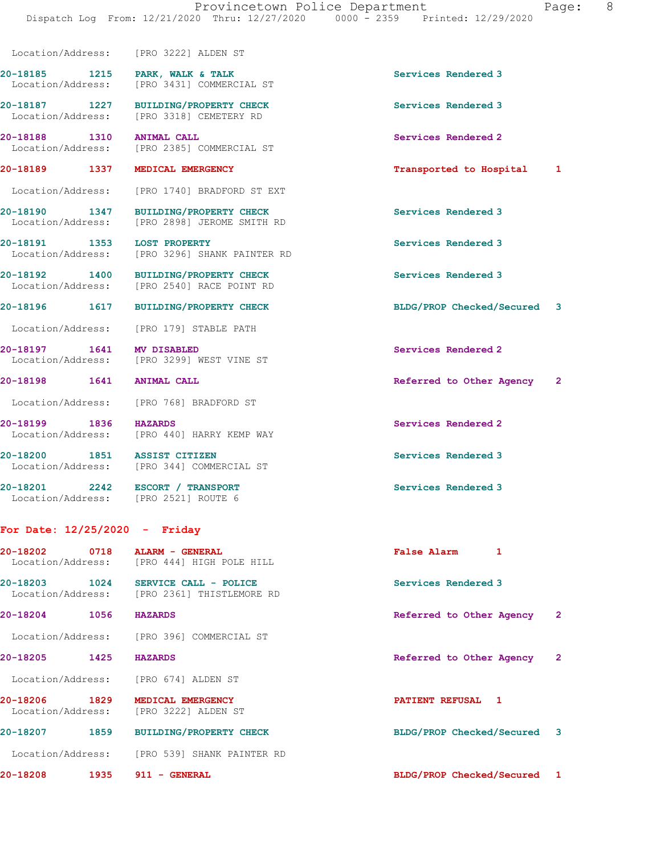20-18185 1215 PARK, WALK & TALK **Services Rendered 3** 

**20-18187 1227 BUILDING/PROPERTY CHECK Services Rendered 3** 

 Location/Address: [PRO 1740] BRADFORD ST EXT **20-18190 1347 BUILDING/PROPERTY CHECK Services Rendered 3**  Location/Address: [PRO 2898] JEROME SMITH RD **20-18191 1353 LOST PROPERTY Services Rendered 3**  Location/Address: [PRO 3296] SHANK PAINTER RD **20-18192 1400 BUILDING/PROPERTY CHECK Services Rendered 3**  Location/Address: [PRO 2540] RACE POINT RD

[PRO 2385] COMMERCIAL ST

Location/Address: [PRO 179] STABLE PATH

**20-18197 1641 MV DISABLED Services Rendered 2 Services Rendered 2 Integral Services Rendered 2** Location/Address: [PRO 3299] WEST VINE ST

Location/Address: [PRO 768] BRADFORD ST

**20-18199 1836 HAZARDS Services Rendered 2**  Location/Address: [PRO 440] HARRY KEMP WAY

20-18200 1851 ASSIST CITIZEN **Services Rendered 3**<br>
Location/Address: [PRO 344] COMMERCIAL ST [PRO 344] COMMERCIAL ST

Location/Address: [PRO 3222] ALDEN ST

Location/Address: [PRO 3431] COMMERCIAL ST

Location/Address: [PRO 3318] CEMETERY RD

**20-18201 2242 ESCORT / TRANSPORT Services Rendered 3**  Location/Address: [PRO 2521] ROUTE 6

## **For Date: 12/25/2020 - Friday**

**20-18202 0718 ALARM - GENERAL False Alarm 1**  Location/Address: [PRO 444] HIGH POLE HILL **20-18203** 1024 SERVICE CALL - POLICE **Services Rendered 3** Location/Address: [PRO 2361] THISTLEMORE RD

[PRO 2361] THISTLEMORE RD

**20-18204 1056 HAZARDS Referred to Other Agency 2**

Location/Address: [PRO 396] COMMERCIAL ST

Location/Address: [PRO 674] ALDEN ST

**20-18206 1829 MEDICAL EMERGENCY PATIENT REFUSAL 1**  [PRO 3222] ALDEN ST

**20-18207 1859 BUILDING/PROPERTY CHECK BLDG/PROP Checked/Secured 3**

Location/Address: [PRO 539] SHANK PAINTER RD

**20-18208 1935 911 - GENERAL BLDG/PROP Checked/Secured 1**

**20-18188 1310 ANIMAL CALL Services Rendered 2 Services Rendered 2 Incrementation** (PRO 2385) COMMERCIAL ST

**20-18189 1337 MEDICAL EMERGENCY Transported to Hospital 1**

**20-18196 1617 BUILDING/PROPERTY CHECK BLDG/PROP Checked/Secured 3**

**20-18198 1641 ANIMAL CALL Referred to Other Agency 2**

**20-18205 1425 HAZARDS Referred to Other Agency 2**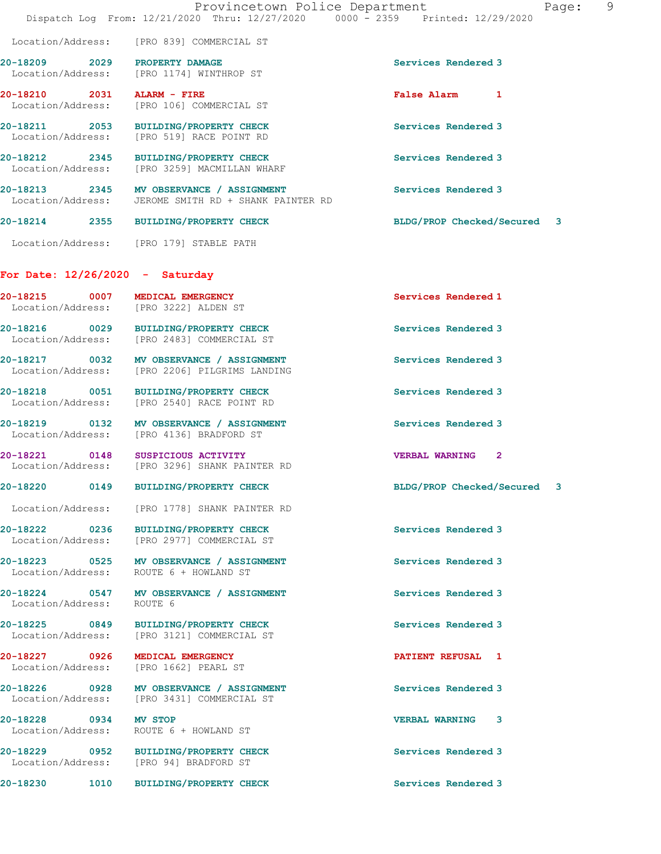|                                   | Dispatch Log From: 12/21/2020 Thru: 12/27/2020 0000 - 2359 Printed: 12/29/2020                   | Provincetown Police Department<br>Page: | 9 |
|-----------------------------------|--------------------------------------------------------------------------------------------------|-----------------------------------------|---|
|                                   | Location/Address: [PRO 839] COMMERCIAL ST                                                        |                                         |   |
| 20-18209 2029 PROPERTY DAMAGE     | Location/Address: [PRO 1174] WINTHROP ST                                                         | Services Rendered 3                     |   |
| 20-18210 2031 ALARM - FIRE        | Location/Address: [PRO 106] COMMERCIAL ST                                                        | False Alarm 1                           |   |
|                                   | 20-18211 2053 BUILDING/PROPERTY CHECK<br>Location/Address: [PRO 519] RACE POINT RD               | Services Rendered 3                     |   |
|                                   | 20-18212 2345 BUILDING/PROPERTY CHECK<br>Location/Address: [PRO 3259] MACMILLAN WHARF            | Services Rendered 3                     |   |
|                                   | 20-18213 2345 MV OBSERVANCE / ASSIGNMENT<br>Location/Address: JEROME SMITH RD + SHANK PAINTER RD | Services Rendered 3                     |   |
|                                   | 20-18214 2355 BUILDING/PROPERTY CHECK                                                            | BLDG/PROP Checked/Secured 3             |   |
|                                   | Location/Address: [PRO 179] STABLE PATH                                                          |                                         |   |
| For Date: $12/26/2020 -$ Saturday |                                                                                                  |                                         |   |
|                                   | 20-18215 0007 MEDICAL EMERGENCY<br>Location/Address: [PRO 3222] ALDEN ST                         | Services Rendered 1                     |   |
|                                   | 20-18216 0029 BUILDING/PROPERTY CHECK<br>Location/Address: [PRO 2483] COMMERCIAL ST              | Services Rendered 3                     |   |
|                                   | 20-18217 0032 MV OBSERVANCE / ASSIGNMENT<br>Location/Address: [PRO 2206] PILGRIMS LANDING        | Services Rendered 3                     |   |
|                                   | 20-18218 0051 BUILDING/PROPERTY CHECK<br>Location/Address: [PRO 2540] RACE POINT RD              | Services Rendered 3                     |   |
|                                   | 20-18219 0132 MV OBSERVANCE / ASSIGNMENT<br>Location/Address: [PRO 4136] BRADFORD ST             | Services Rendered 3                     |   |
|                                   | 20-18221 0148 SUSPICIOUS ACTIVITY<br>Location/Address: [PRO 3296] SHANK PAINTER RD               | VERBAL WARNING <sub>2</sub>             |   |
|                                   | 20-18220 0149 BUILDING/PROPERTY CHECK                                                            | BLDG/PROP Checked/Secured 3             |   |
|                                   | Location/Address: [PRO 1778] SHANK PAINTER RD                                                    |                                         |   |
|                                   | 20-18222 0236 BUILDING/PROPERTY CHECK<br>Location/Address: [PRO 2977] COMMERCIAL ST              | Services Rendered 3                     |   |
|                                   | 20-18223 0525 MV OBSERVANCE / ASSIGNMENT<br>Location/Address: ROUTE 6 + HOWLAND ST               | Services Rendered 3                     |   |
| Location/Address: ROUTE 6         | 20-18224 0547 MV OBSERVANCE / ASSIGNMENT                                                         | Services Rendered 3                     |   |
|                                   | 20-18225 0849 BUILDING/PROPERTY CHECK<br>Location/Address: [PRO 3121] COMMERCIAL ST              | Services Rendered 3                     |   |
|                                   | 20-18227 0926 MEDICAL EMERGENCY<br>Location/Address: [PRO 1662] PEARL ST                         | PATIENT REFUSAL 1                       |   |
|                                   | 20-18226 0928 MV OBSERVANCE / ASSIGNMENT<br>Location/Address: [PRO 3431] COMMERCIAL ST           | Services Rendered 3                     |   |
| 20-18228 0934 MV STOP             | Location/Address: ROUTE 6 + HOWLAND ST                                                           | <b>VERBAL WARNING 3</b>                 |   |
|                                   | 20-18229 0952 BUILDING/PROPERTY CHECK<br>Location/Address: [PRO 94] BRADFORD ST                  | Services Rendered 3                     |   |
|                                   | 20-18230 1010 BUILDING/PROPERTY CHECK                                                            | Services Rendered 3                     |   |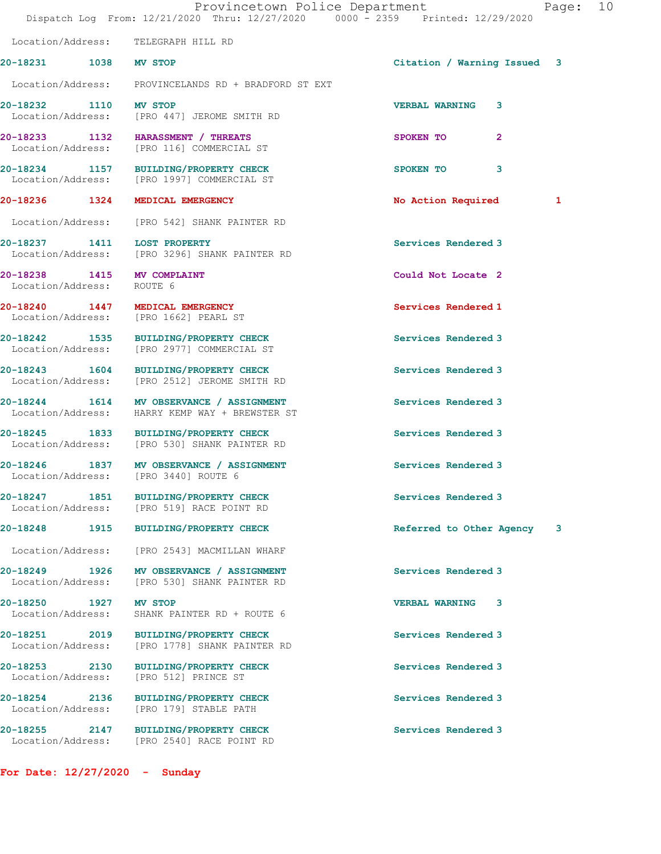|                                                                          | Provincetown Police Department<br>Dispatch Log From: 12/21/2020 Thru: 12/27/2020 0000 - 2359 Printed: 12/29/2020 |                             | Page: 10 |  |
|--------------------------------------------------------------------------|------------------------------------------------------------------------------------------------------------------|-----------------------------|----------|--|
| Location/Address: TELEGRAPH HILL RD                                      |                                                                                                                  |                             |          |  |
| 20-18231 1038 MV STOP                                                    |                                                                                                                  | Citation / Warning Issued 3 |          |  |
|                                                                          | Location/Address: PROVINCELANDS RD + BRADFORD ST EXT                                                             |                             |          |  |
| 20-18232 1110 MV STOP                                                    | Location/Address: [PRO 447] JEROME SMITH RD                                                                      | <b>VERBAL WARNING 3</b>     |          |  |
|                                                                          | 20-18233 1132 HARASSMENT / THREATS<br>Location/Address: [PRO 116] COMMERCIAL ST                                  | SPOKEN TO<br>$\mathbf{2}$   |          |  |
|                                                                          | 20-18234 1157 BUILDING/PROPERTY CHECK<br>Location/Address: [PRO 1997] COMMERCIAL ST                              | 3<br>SPOKEN TO              |          |  |
| 20-18236 1324 MEDICAL EMERGENCY                                          |                                                                                                                  | No Action Required          | 1        |  |
|                                                                          | Location/Address: [PRO 542] SHANK PAINTER RD                                                                     |                             |          |  |
|                                                                          | 20-18237 1411 LOST PROPERTY<br>Location/Address: [PRO 3296] SHANK PAINTER RD                                     | Services Rendered 3         |          |  |
| 20-18238 1415 MV COMPLAINT<br>Location/Address: ROUTE 6                  |                                                                                                                  | Could Not Locate 2          |          |  |
| 20-18240 1447 MEDICAL EMERGENCY<br>Location/Address: [PRO 1662] PEARL ST |                                                                                                                  | Services Rendered 1         |          |  |
|                                                                          | 20-18242 1535 BUILDING/PROPERTY CHECK<br>Location/Address: [PRO 2977] COMMERCIAL ST                              | Services Rendered 3         |          |  |
|                                                                          | 20-18243 1604 BUILDING/PROPERTY CHECK<br>Location/Address: [PRO 2512] JEROME SMITH RD                            | Services Rendered 3         |          |  |
|                                                                          | 20-18244 1614 MV OBSERVANCE / ASSIGNMENT<br>Location/Address: HARRY KEMP WAY + BREWSTER ST                       | Services Rendered 3         |          |  |
|                                                                          | 20-18245 1833 BUILDING/PROPERTY CHECK<br>Location/Address: [PRO 530] SHANK PAINTER RD                            | Services Rendered 3         |          |  |
| Location/Address: [PRO 3440] ROUTE 6                                     | 20-18246 1837 MV OBSERVANCE / ASSIGNMENT                                                                         | Services Rendered 3         |          |  |
|                                                                          | 20-18247 1851 BUILDING/PROPERTY CHECK<br>Location/Address: [PRO 519] RACE POINT RD                               | Services Rendered 3         |          |  |
|                                                                          | 20-18248 1915 BUILDING/PROPERTY CHECK                                                                            | Referred to Other Agency    | 3        |  |
| Location/Address:                                                        | [PRO 2543] MACMILLAN WHARF                                                                                       |                             |          |  |
| 20-18249 1926<br>Location/Address:                                       | MV OBSERVANCE / ASSIGNMENT<br>[PRO 530] SHANK PAINTER RD                                                         | Services Rendered 3         |          |  |
| 20-18250 1927 MV STOP<br>Location/Address:                               | SHANK PAINTER RD + ROUTE 6                                                                                       | <b>VERBAL WARNING 3</b>     |          |  |
| Location/Address:                                                        | 20-18251 2019 BUILDING/PROPERTY CHECK<br>[PRO 1778] SHANK PAINTER RD                                             | Services Rendered 3         |          |  |
| 20-18253 2130<br>Location/Address:                                       | <b>BUILDING/PROPERTY CHECK</b><br>[PRO 512] PRINCE ST                                                            | Services Rendered 3         |          |  |
| 20-18254 2136                                                            | <b>BUILDING/PROPERTY CHECK</b><br>Location/Address: [PRO 179] STABLE PATH                                        | Services Rendered 3         |          |  |
| Location/Address:                                                        | 20-18255 2147 BUILDING/PROPERTY CHECK<br>[PRO 2540] RACE POINT RD                                                | Services Rendered 3         |          |  |

**For Date: 12/27/2020 - Sunday**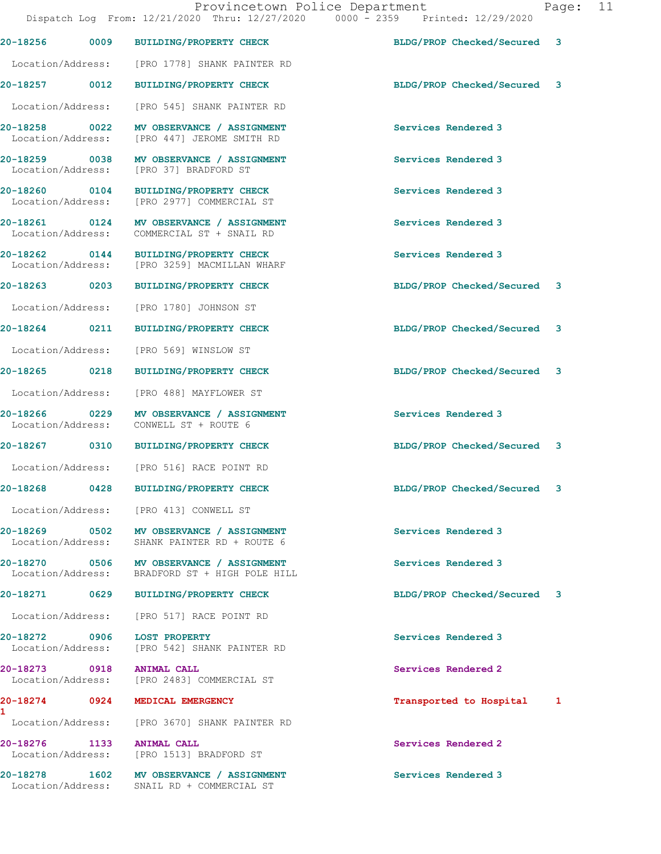|                                       |                                                                                            | Dispatch Log From: 12/21/2020 Thru: 12/27/2020 0000 - 2359 Printed: 12/29/2020 |              |
|---------------------------------------|--------------------------------------------------------------------------------------------|--------------------------------------------------------------------------------|--------------|
| 20-18256<br>0009                      | <b>BUILDING/PROPERTY CHECK</b>                                                             | BLDG/PROP Checked/Secured                                                      | 3            |
| Location/Address:                     | [PRO 1778] SHANK PAINTER RD                                                                |                                                                                |              |
| 20-18257 0012                         | <b>BUILDING/PROPERTY CHECK</b>                                                             | BLDG/PROP Checked/Secured                                                      | 3            |
| Location/Address:                     | [PRO 545] SHANK PAINTER RD                                                                 |                                                                                |              |
| 20-18258<br>0022<br>Location/Address: | MV OBSERVANCE / ASSIGNMENT<br>[PRO 447] JEROME SMITH RD                                    | Services Rendered 3                                                            |              |
| 20-18259 0038<br>Location/Address:    | MV OBSERVANCE / ASSIGNMENT<br>[PRO 37] BRADFORD ST                                         | Services Rendered 3                                                            |              |
| 20-18260 0104<br>Location/Address:    | <b>BUILDING/PROPERTY CHECK</b><br>[PRO 2977] COMMERCIAL ST                                 | Services Rendered 3                                                            |              |
| 20-18261 0124<br>Location/Address:    | MV OBSERVANCE / ASSIGNMENT<br>COMMERCIAL ST + SNAIL RD                                     | Services Rendered 3                                                            |              |
| 20-18262 0144<br>Location/Address:    | BUILDING/PROPERTY CHECK<br>[PRO 3259] MACMILLAN WHARF                                      | Services Rendered 3                                                            |              |
| 20-18263<br>0203                      | <b>BUILDING/PROPERTY CHECK</b>                                                             | BLDG/PROP Checked/Secured 3                                                    |              |
| Location/Address:                     | [PRO 1780] JOHNSON ST                                                                      |                                                                                |              |
| 20-18264 0211                         | <b>BUILDING/PROPERTY CHECK</b>                                                             | BLDG/PROP Checked/Secured                                                      | 3            |
| Location/Address:                     | [PRO 569] WINSLOW ST                                                                       |                                                                                |              |
| 20-18265 0218                         | BUILDING/PROPERTY CHECK                                                                    | BLDG/PROP Checked/Secured                                                      | 3            |
| Location/Address:                     | [PRO 488] MAYFLOWER ST                                                                     |                                                                                |              |
| 20-18266 0229<br>Location/Address:    | MV OBSERVANCE / ASSIGNMENT<br>CONWELL ST + ROUTE 6                                         | Services Rendered 3                                                            |              |
| 20-18267 0310                         | <b>BUILDING/PROPERTY CHECK</b>                                                             | BLDG/PROP Checked/Secured                                                      | $\mathbf{3}$ |
| Location/Address:                     | [PRO 516] RACE POINT RD                                                                    |                                                                                |              |
| 0428<br>20-18268                      | <b>BUILDING/PROPERTY CHECK</b>                                                             | BLDG/PROP Checked/Secured                                                      | 3            |
|                                       | Location/Address: [PRO 413] CONWELL ST                                                     |                                                                                |              |
|                                       | 20-18269 0502 MV OBSERVANCE / ASSIGNMENT<br>Location/Address: SHANK PAINTER RD + ROUTE 6   | Services Rendered 3                                                            |              |
|                                       | 20-18270 0506 MV OBSERVANCE / ASSIGNMENT<br>Location/Address: BRADFORD ST + HIGH POLE HILL | Services Rendered 3                                                            |              |
|                                       | 20-18271 0629 BUILDING/PROPERTY CHECK                                                      | BLDG/PROP Checked/Secured                                                      | 3            |
|                                       | Location/Address: [PRO 517] RACE POINT RD                                                  |                                                                                |              |
| 20-18272 0906 LOST PROPERTY           | Location/Address: [PRO 542] SHANK PAINTER RD                                               | Services Rendered 3                                                            |              |
| 20-18273 0918 ANIMAL CALL             | Location/Address: [PRO 2483] COMMERCIAL ST                                                 | Services Rendered 2                                                            |              |
| 1                                     | 20-18274 0924 MEDICAL EMERGENCY                                                            | Transported to Hospital                                                        | 1            |
|                                       | Location/Address: [PRO 3670] SHANK PAINTER RD                                              |                                                                                |              |
| 20-18276 1133 ANIMAL CALL             | Location/Address: [PRO 1513] BRADFORD ST                                                   | Services Rendered 2                                                            |              |
|                                       | 20-18278 1602 MV OBSERVANCE / ASSIGNMENT<br>Location/Address: SNAIL RD + COMMERCIAL ST     | Services Rendered 3                                                            |              |